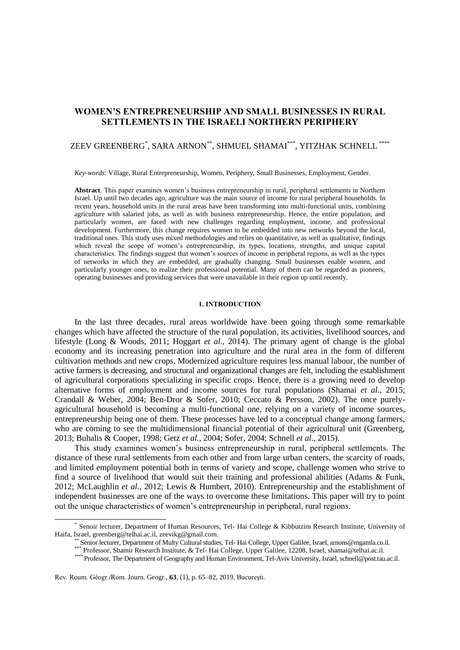# **WOMEN'S ENTREPRENEURSHIP AND SMALL BUSINESSES IN RURAL SETTLEMENTS IN THE ISRAELI NORTHERN PERIPHERY**

# ZEEV GREENBERG\* , SARA ARNON\*\*, SHMUEL SHAMAI\*\*\*, YITZHAK SCHNELL \*\*\*\*

*Key-words*: Village, Rural Entrepreneurship, Women, Periphery, Small Businesses, Employment, Gender.

**Abstract**. This paper examines women's business entrepreneurship in rural, peripheral settlements in Northern Israel. Up until two decades ago, agriculture was the main source of income for rural peripheral households. In recent years, household units in the rural areas have been transforming into multi-functional units, combining agriculture with salaried jobs, as well as with business entrepreneurship. Hence, the entire population, and particularly women, are faced with new challenges regarding employment, income, and professional development. Furthermore, this change requires women to be embedded into new networks beyond the local, traditional ones. This study uses mixed methodologies and relies on quantitative, as well as qualitative, findings which reveal the scope of women's entrepreneurship, its types, locations, strengths, and unique capital characteristics. The findings suggest that women's sources of income in peripheral regions, as well as the types of networks in which they are embedded, are gradually changing. Small businesses enable women, and particularly younger ones, to realize their professional potential. Many of them can be regarded as pioneers, operating businesses and providing services that were unavailable in their region up until recently.

# **1. INTRODUCTION**

In the last three decades, rural areas worldwide have been going through some remarkable changes which have affected the structure of the rural population, its activities, livelihood sources, and lifestyle (Long & Woods, 2011; Hoggart *et al.*, 2014). The primary agent of change is the global economy and its increasing penetration into agriculture and the rural area in the form of different cultivation methods and new crops. Modernized agriculture requires less manual labour, the number of active farmers is decreasing, and structural and organizational changes are felt, including the establishment of agricultural corporations specializing in specific crops. Hence, there is a growing need to develop alternative forms of employment and income sources for rural populations (Shamai *et al.*, 2015; Crandall & Weber, 2004; Ben-Dror & Sofer, 2010; Ceccato & Persson, 2002). The once purelyagricultural household is becoming a multi-functional one, relying on a variety of income sources, entrepreneurship being one of them. These processes have led to a conceptual change among farmers, who are coming to see the multidimensional financial potential of their agricultural unit (Greenberg, 2013; Buhalis & Cooper, 1998; Getz *et al.*, 2004; Sofer, 2004; Schnell *et al.*, 2015).

This study examines women's business entrepreneurship in rural, peripheral settlements. The distance of these rural settlements from each other and from large urban centers, the scarcity of roads, and limited employment potential both in terms of variety and scope, challenge women who strive to find a source of livelihood that would suit their training and professional abilities (Adams & Funk, 2012; McLaughlin *et al.*, 2012; Lewis & Humbert, 2010). Entrepreneurship and the establishment of independent businesses are one of the ways to overcome these limitations. This paper will try to point out the unique characteristics of women's entrepreneurship in peripheral, rural regions.

 $\overline{a}$ 

<sup>\*</sup> Senoir lecturer, Department of Human Resources, Tel- Hai College & Kibbutzim Research Institute, University of Haifa, Israel, [greenberg@telhai.ac.il,](mailto:greenberg@telhai.ac.il) [zeevikg@gmail.com.](mailto:zeevikg@gmail.com) 

Senior lecturer, Department of Multy Cultural studies, Tel- Hai College, Upper Galilee, Israel[, arnons@mgamla.co.il.](mailto:arnons@mgamla.co.il)

<sup>\*\*\*</sup> Professor, Shamir Research Institute, & Tel- Hai College, Upper Galilee, 12208, Israel, shamai@telhai.ac.il.

<sup>\*\*\*\*</sup> Professor, The Department of Geography and Human Environment, Tel-Aviv University, Israel, schnell@post.tau.ac.il.

Rev. Roum. Géogr./Rom. Journ. Geogr., **63**, (1), p. 65–82, 2019, Bucureşti.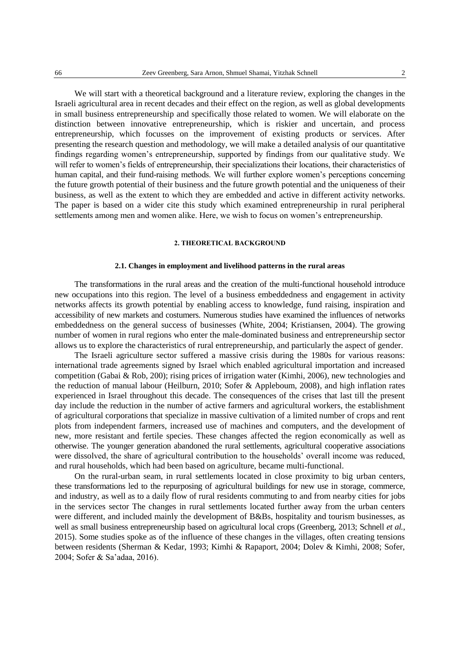We will start with a theoretical background and a literature review, exploring the changes in the Israeli agricultural area in recent decades and their effect on the region, as well as global developments in small business entrepreneurship and specifically those related to women. We will elaborate on the distinction between innovative entrepreneurship, which is riskier and uncertain, and process entrepreneurship, which focusses on the improvement of existing products or services. After presenting the research question and methodology, we will make a detailed analysis of our quantitative findings regarding women's entrepreneurship, supported by findings from our qualitative study. We will refer to women's fields of entrepreneurship, their specializations their locations, their characteristics of human capital, and their fund-raising methods. We will further explore women's perceptions concerning the future growth potential of their business and the future growth potential and the uniqueness of their business, as well as the extent to which they are embedded and active in different activity networks. The paper is based on a wider cite this study which examined entrepreneurship in rural peripheral settlements among men and women alike. Here, we wish to focus on women's entrepreneurship.

# **2. THEORETICAL BACKGROUND**

# **2.1. Changes in employment and livelihood patterns in the rural areas**

The transformations in the rural areas and the creation of the multi-functional household introduce new occupations into this region. The level of a business embeddedness and engagement in activity networks affects its growth potential by enabling access to knowledge, fund raising, inspiration and accessibility of new markets and costumers. Numerous studies have examined the influences of networks embeddedness on the general success of businesses (White, 2004; Kristiansen, 2004). The growing number of women in rural regions who enter the male-dominated business and entrepreneurship sector allows us to explore the characteristics of rural entrepreneurship, and particularly the aspect of gender.

The Israeli agriculture sector suffered a massive crisis during the 1980s for various reasons: international trade agreements signed by Israel which enabled agricultural importation and increased competition (Gabai & Rob, 200); rising prices of irrigation water (Kimhi, 2006), new technologies and the reduction of manual labour (Heilburn, 2010; Sofer & Appleboum, 2008), and high inflation rates experienced in Israel throughout this decade. The consequences of the crises that last till the present day include the reduction in the number of active farmers and agricultural workers, the establishment of agricultural corporations that specialize in massive cultivation of a limited number of crops and rent plots from independent farmers, increased use of machines and computers, and the development of new, more resistant and fertile species. These changes affected the region economically as well as otherwise. The younger generation abandoned the rural settlements, agricultural cooperative associations were dissolved, the share of agricultural contribution to the households' overall income was reduced, and rural households, which had been based on agriculture, became multi-functional.

On the rural-urban seam, in rural settlements located in close proximity to big urban centers, these transformations led to the repurposing of agricultural buildings for new use in storage, commerce, and industry, as well as to a daily flow of rural residents commuting to and from nearby cities for jobs in the services sector The changes in rural settlements located further away from the urban centers were different, and included mainly the development of B&Bs, hospitality and tourism businesses, as well as small business entrepreneurship based on agricultural local crops (Greenberg, 2013; Schnell *et al.*, 2015). Some studies spoke as of the influence of these changes in the villages, often creating tensions between residents (Sherman & Kedar, 1993; Kimhi & Rapaport, 2004; Dolev & Kimhi, 2008; Sofer, 2004; Sofer & Sa'adaa, 2016).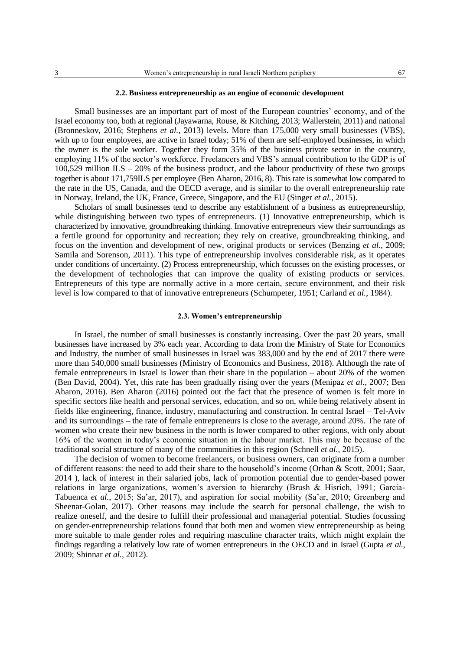## **2.2. Business entrepreneurship as an engine of economic development**

Small businesses are an important part of most of the European countries' economy, and of the Israel economy too, both at regional (Jayawarna, Rouse, & Kitching, 2013; Wallerstein, 2011) and national (Bronneskov, 2016; Stephens *et al.*, 2013) levels. More than 175,000 very small businesses (VBS), with up to four employees, are active in Israel today; 51% of them are self-employed businesses, in which the owner is the sole worker. Together they form 35% of the business private sector in the country, employing 11% of the sector's workforce. Freelancers and VBS's annual contribution to the GDP is of 100,529 million  $ILS - 20\%$  of the business product, and the labour productivity of these two groups together is about 171,759ILS per employee (Ben Aharon, 2016, 8). This rate is somewhat low compared to the rate in the US, Canada, and the OECD average, and is similar to the overall entrepreneurship rate in Norway, Ireland, the UK, France, Greece, Singapore, and the EU (Singer *et al.*, 2015).

Scholars of small businesses tend to describe any establishment of a business as entrepreneurship, while distinguishing between two types of entrepreneurs. (1) Innovative entrepreneurship, which is characterized by innovative, groundbreaking thinking. Innovative entrepreneurs view their surroundings as a fertile ground for opportunity and recreation; they rely on creative, groundbreaking thinking, and focus on the invention and development of new, original products or services (Benzing *et al.*, 2009; Samila and Sorenson, 2011). This type of entrepreneurship involves considerable risk, as it operates under conditions of uncertainty. (2) Process entrepreneurship, which focusses on the existing processes, or the development of technologies that can improve the quality of existing products or services. Entrepreneurs of this type are normally active in a more certain, secure environment, and their risk level is low compared to that of innovative entrepreneurs (Schumpeter, 1951; Carland *et al.*, 1984).

# **2.3. Women's entrepreneurship**

In Israel, the number of small businesses is constantly increasing. Over the past 20 years, small businesses have increased by 3% each year. According to data from the Ministry of State for Economics and Industry, the number of small businesses in Israel was 383,000 and by the end of 2017 there were more than 540,000 small businesses (Ministry of Economics and Business, 2018). Although the rate of female entrepreneurs in Israel is lower than their share in the population – about 20% of the women (Ben David, 2004). Yet, this rate has been gradually rising over the years (Menipaz *et al.*, 2007; Ben Aharon, 2016). Ben Aharon (2016) pointed out the fact that the presence of women is felt more in specific sectors like health and personal services, education, and so on, while being relatively absent in fields like engineering, finance, industry, manufacturing and construction. In central Israel – Tel-Aviv and its surroundings – the rate of female entrepreneurs is close to the average, around 20%. The rate of women who create their new business in the north is lower compared to other regions, with only about 16% of the women in today's economic situation in the labour market. This may be because of the traditional social structure of many of the communities in this region (Schnell *et al.*, 2015).

The decision of women to become freelancers, or business owners, can originate from a number of different reasons: the need to add their share to the household's income (Orhan & Scott, 2001; Saar, 2014 ), lack of interest in their salaried jobs, lack of promotion potential due to gender-based power relations in large organizations, women's aversion to hierarchy (Brush & Hisrich, 1991; Garcia-Tabuenca *et al.*, 2015; Sa'ar, 2017), and aspiration for social mobility (Sa'ar, 2010; Greenberg and Sheenar-Golan, 2017). Other reasons may include the search for personal challenge, the wish to realize oneself, and the desire to fulfill their professional and managerial potential. Studies focussing on gender-entrepreneurship relations found that both men and women view entrepreneurship as being more suitable to male gender roles and requiring masculine character traits, which might explain the findings regarding a relatively low rate of women entrepreneurs in the OECD and in Israel (Gupta *et al.*, 2009; Shinnar *et al.*, 2012).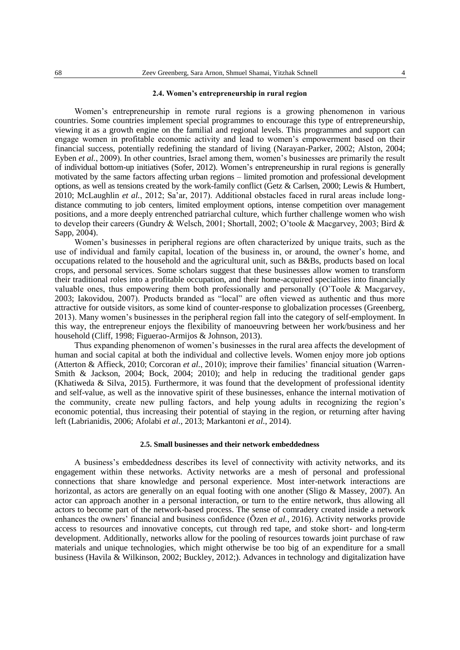## **2.4. Women's entrepreneurship in rural region**

Women's entrepreneurship in remote rural regions is a growing phenomenon in various countries. Some countries implement special programmes to encourage this type of entrepreneurship, viewing it as a growth engine on the familial and regional levels. This programmes and support can engage women in profitable economic activity and lead to women's empowerment based on their financial success, potentially redefining the standard of living (Narayan-Parker, 2002; Alston, 2004; Eyben *et al.*, 2009). In other countries, Israel among them, women's businesses are primarily the result of individual bottom-up initiatives (Sofer, 2012). Women's entrepreneurship in rural regions is generally motivated by the same factors affecting urban regions – limited promotion and professional development options, as well as tensions created by the work-family conflict (Getz & Carlsen, 2000; Lewis & Humbert, 2010; McLaughlin *et al.*, 2012; Sa'ar, 2017). Additional obstacles faced in rural areas include longdistance commuting to job centers, limited employment options, intense competition over management positions, and a more deeply entrenched patriarchal culture, which further challenge women who wish to develop their careers (Gundry & Welsch, 2001; Shortall, 2002; O'toole & Macgarvey, 2003; Bird & Sapp, 2004).

Women's businesses in peripheral regions are often characterized by unique traits, such as the use of individual and family capital, location of the business in, or around, the owner's home, and occupations related to the household and the agricultural unit, such as B&Bs, products based on local crops, and personal services. Some scholars suggest that these businesses allow women to transform their traditional roles into a profitable occupation, and their home-acquired specialties into financially valuable ones, thus empowering them both professionally and personally (O'Toole & Macgarvey, 2003; Iakovidou, 2007). Products branded as "local" are often viewed as authentic and thus more attractive for outside visitors, as some kind of counter-response to globalization processes (Greenberg, 2013). Many women's businesses in the peripheral region fall into the category of self-employment. In this way, the entrepreneur enjoys the flexibility of manoeuvring between her work/business and her household (Cliff, 1998; Figuerao-Armijos & Johnson, 2013).

Thus expanding phenomenon of women's businesses in the rural area affects the development of human and social capital at both the individual and collective levels. Women enjoy more job options (Atterton & Affieck, 2010; Corcoran *et al.*, 2010); improve their families' financial situation (Warren-Smith & Jackson, 2004; Bock, 2004; 2010); and help in reducing the traditional gender gaps (Khatiweda & Silva, 2015). Furthermore, it was found that the development of professional identity and self-value, as well as the innovative spirit of these businesses, enhance the internal motivation of the community, create new pulling factors, and help young adults in recognizing the region's economic potential, thus increasing their potential of staying in the region, or returning after having left (Labrianidis, 2006; Afolabi *et al.*, 2013; Markantoni *et al.*, 2014).

# **2.5. Small businesses and their network embeddedness**

A business's embeddedness describes its level of connectivity with activity networks, and its engagement within these networks. Activity networks are a mesh of personal and professional connections that share knowledge and personal experience. Most inter-network interactions are horizontal, as actors are generally on an equal footing with one another (Sligo  $\&$  Massey, 2007). An actor can approach another in a personal interaction, or turn to the entire network, thus allowing all actors to become part of the network-based process. The sense of comradery created inside a network enhances the owners' financial and business confidence (Özen *et al.*, 2016). Activity networks provide access to resources and innovative concepts, cut through red tape, and stoke short- and long-term development. Additionally, networks allow for the pooling of resources towards joint purchase of raw materials and unique technologies, which might otherwise be too big of an expenditure for a small business (Havila & Wilkinson, 2002; Buckley, 2012;). Advances in technology and digitalization have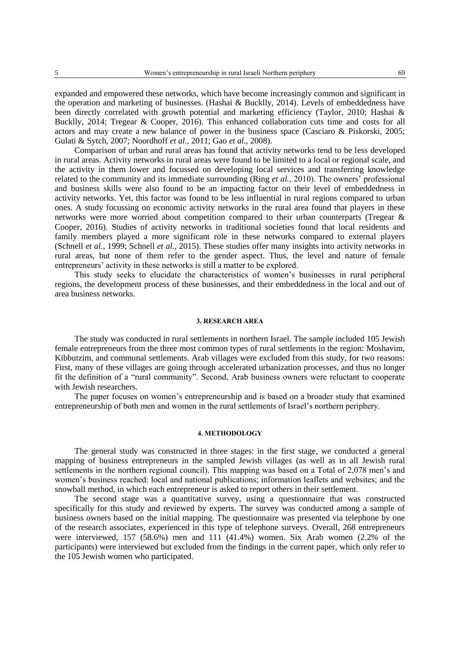expanded and empowered these networks, which have become increasingly common and significant in the operation and marketing of businesses. (Hashai & Bucklly, 2014). Levels of embeddedness have been directly correlated with growth potential and marketing efficiency (Taylor, 2010; Hashai & Bucklly, 2014; Tregear & Cooper, 2016). This enhanced collaboration cuts time and costs for all actors and may create a new balance of power in the business space (Casciaro & Piskorski, 2005; Gulati & Sytch, 2007; Noordhoff *et al.*, 2011; Gao *et al.*, 2008).

Comparison of urban and rural areas has found that activity networks tend to be less developed in rural areas. Activity networks in rural areas were found to be limited to a local or regional scale, and the activity in them lower and focussed on developing local services and transferring knowledge related to the community and its immediate surrounding (Ring *et al.*, 2010). The owners' professional and business skills were also found to be an impacting factor on their level of embeddedness in activity networks. Yet, this factor was found to be less influential in rural regions compared to urban ones. A study focussing on economic activity networks in the rural area found that players in these networks were more worried about competition compared to their urban counterparts (Tregear & Cooper, 2016). Studies of activity networks in traditional societies found that local residents and family members played a more significant role in these networks compared to external players (Schnell *et al.*, 1999; Schnell *et al.*, 2015). These studies offer many insights into activity networks in rural areas, but none of them refer to the gender aspect. Thus, the level and nature of female entrepreneurs' activity in these networks is still a matter to be explored.

This study seeks to elucidate the characteristics of women's businesses in rural peripheral regions, the development process of these businesses, and their embeddedness in the local and out of area business networks.

# **3. RESEARCH AREA**

The study was conducted in rural settlements in northern Israel. The sample included 105 Jewish female entrepreneurs from the three most common types of rural settlements in the region: Moshavim, Kibbutzim, and communal settlements. Arab villages were excluded from this study, for two reasons: First, many of these villages are going through accelerated urbanization processes, and thus no longer fit the definition of a "rural community". Second, Arab business owners were reluctant to cooperate with Jewish researchers.

The paper focuses on women's entrepreneurship and is based on a broader study that examined entrepreneurship of both men and women in the rural settlements of Israel's northern periphery.

# **4. METHODOLOGY**

The general study was constructed in three stages: in the first stage, we conducted a general mapping of business entrepreneurs in the sampled Jewish villages (as well as in all Jewish rural settlements in the northern regional council). This mapping was based on a Total of 2,078 men's and women's business reached: local and national publications; information leaflets and websites; and the snowball method, in which each entrepreneur is asked to report others in their settlement.

The second stage was a quantitative survey, using a questionnaire that was constructed specifically for this study and reviewed by experts. The survey was conducted among a sample of business owners based on the initial mapping. The questionnaire was presented via telephone by one of the research associates, experienced in this type of telephone surveys. Overall, 268 entrepreneurs were interviewed, 157 (58.6%) men and 111 (41.4%) women. Six Arab women (2.2% of the participants) were interviewed but excluded from the findings in the current paper, which only refer to the 105 Jewish women who participated.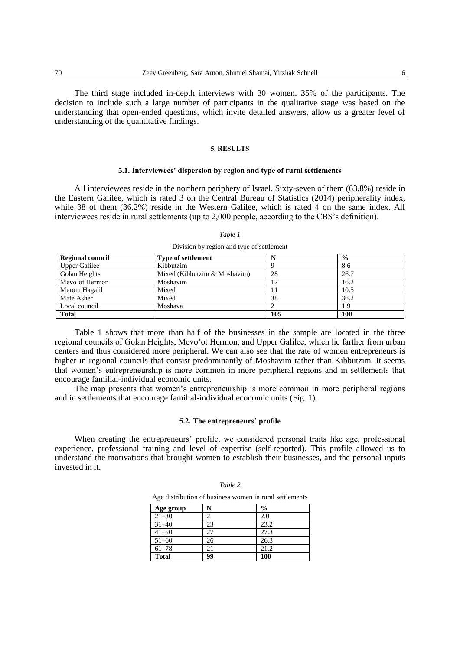The third stage included in-depth interviews with 30 women, 35% of the participants. The decision to include such a large number of participants in the qualitative stage was based on the understanding that open-ended questions, which invite detailed answers, allow us a greater level of understanding of the quantitative findings.

## **5. RESULTS**

### **5.1. Interviewees' dispersion by region and type of rural settlements**

All interviewees reside in the northern periphery of Israel. Sixty-seven of them (63.8%) reside in the Eastern Galilee, which is rated 3 on the Central Bureau of Statistics (2014) peripherality index, while 38 of them (36.2%) reside in the Western Galilee, which is rated 4 on the same index. All interviewees reside in rural settlements (up to 2,000 people, according to the CBS's definition).

|                         | Division by region and type of setucinem |     |               |
|-------------------------|------------------------------------------|-----|---------------|
| <b>Regional council</b> | <b>Type of settlement</b>                |     | $\frac{0}{0}$ |
| <b>Upper Galilee</b>    | Kibbutzim                                |     | 8.6           |
| Golan Heights           | Mixed (Kibbutzim & Moshavim)             | 28  | 26.7          |
| Mevo'ot Hermon          | Moshavim                                 |     | 16.2          |
| Merom Hagalil           | Mixed                                    |     | 10.5          |
| Mate Asher              | Mixed                                    | 38  | 36.2          |
| Local council           | Moshava                                  |     | 1.9           |
| <b>Total</b>            |                                          | 105 | 100           |

*Table 1* Division by region and type of settlement

Table 1 shows that more than half of the businesses in the sample are located in the three regional councils of Golan Heights, Mevo'ot Hermon, and Upper Galilee, which lie farther from urban centers and thus considered more peripheral. We can also see that the rate of women entrepreneurs is higher in regional councils that consist predominantly of Moshavim rather than Kibbutzim. It seems that women's entrepreneurship is more common in more peripheral regions and in settlements that encourage familial-individual economic units.

The map presents that women's entrepreneurship is more common in more peripheral regions and in settlements that encourage familial-individual economic units (Fig. 1).

# **5.2. The entrepreneurs' profile**

When creating the entrepreneurs' profile, we considered personal traits like age, professional experience, professional training and level of expertise (self-reported). This profile allowed us to understand the motivations that brought women to establish their businesses, and the personal inputs invested in it.

|              |    | Age distribution of business women in rural settlements |
|--------------|----|---------------------------------------------------------|
| Age group    |    | %                                                       |
| $21 - 30$    |    | 2.0                                                     |
| $31 - 40$    | 23 | 23.2                                                    |
| $41 - 50$    | 27 | 27.3                                                    |
| $51 - 60$    | 26 | 26.3                                                    |
| $61 - 78$    | 21 | 21.2                                                    |
| <b>Total</b> | 99 | 100                                                     |

#### *Table 2*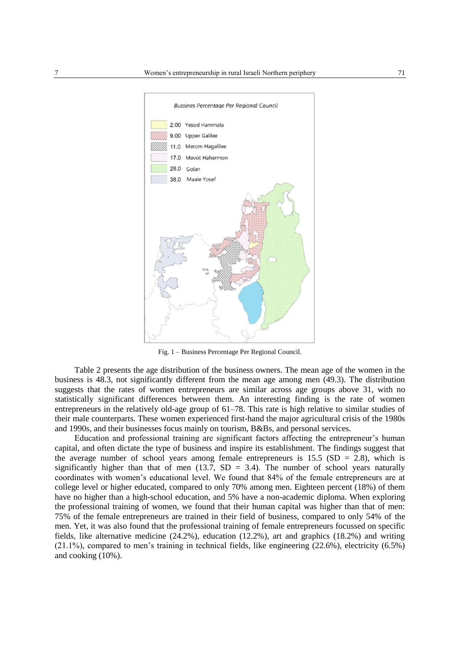

Fig. 1 – Business Percentage Per Regional Council.

Table 2 presents the age distribution of the business owners. The mean age of the women in the business is 48.3, not significantly different from the mean age among men (49.3). The distribution suggests that the rates of women entrepreneurs are similar across age groups above 31, with no statistically significant differences between them. An interesting finding is the rate of women entrepreneurs in the relatively old-age group of 61–78. This rate is high relative to similar studies of their male counterparts. These women experienced first-hand the major agricultural crisis of the 1980s and 1990s, and their businesses focus mainly on tourism, B&Bs, and personal services.

Education and professional training are significant factors affecting the entrepreneur's human capital, and often dictate the type of business and inspire its establishment. The findings suggest that the average number of school years among female entrepreneurs is  $15.5$  (SD = 2.8), which is significantly higher than that of men  $(13.7, SD = 3.4)$ . The number of school years naturally coordinates with women's educational level. We found that 84% of the female entrepreneurs are at college level or higher educated, compared to only 70% among men. Eighteen percent (18%) of them have no higher than a high-school education, and 5% have a non-academic diploma. When exploring the professional training of women, we found that their human capital was higher than that of men: 75% of the female entrepreneurs are trained in their field of business, compared to only 54% of the men. Yet, it was also found that the professional training of female entrepreneurs focussed on specific fields, like alternative medicine (24.2%), education (12.2%), art and graphics (18.2%) and writing (21.1%), compared to men's training in technical fields, like engineering (22.6%), electricity (6.5%) and cooking (10%).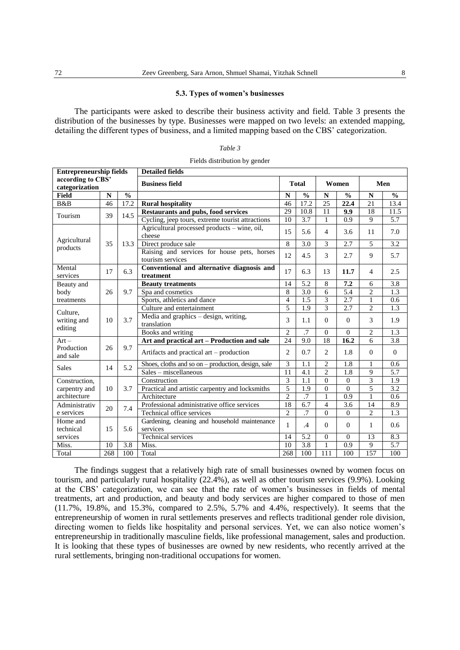# **5.3. Types of women's businesses**

The participants were asked to describe their business activity and field. Table 3 presents the distribution of the businesses by type. Businesses were mapped on two levels: an extended mapping, detailing the different types of business, and a limited mapping based on the CBS' categorization.

| able |  |
|------|--|
|------|--|

Fields distribution by gender

| <b>Entrepreneurship fields</b>      |             |               | <b>Detailed fields</b>                                          |                       |      |                  |          |                |                  |
|-------------------------------------|-------------|---------------|-----------------------------------------------------------------|-----------------------|------|------------------|----------|----------------|------------------|
| according to CBS'<br>categorization |             |               | <b>Business field</b>                                           | <b>Total</b><br>Women |      |                  |          |                | Men              |
| <b>Field</b>                        | $\mathbf N$ | $\frac{0}{0}$ |                                                                 | $\frac{0}{0}$<br>N    |      |                  |          | N              | $\frac{0}{0}$    |
| B&B                                 | 46          | 17.2          | <b>Rural hospitality</b>                                        | 46                    | 17.2 | 25               | 22.4     | 21             | 13.4             |
| Tourism                             | 39          | 14.5          | <b>Restaurants and pubs, food services</b>                      | 29                    | 10.8 | 11               | 9.9      | 18             | 11.5             |
|                                     |             |               | Cycling, jeep tours, extreme tourist attractions                | 10                    | 3.7  | $\mathbf{1}$     | 0.9      | 9              | 5.7              |
|                                     |             |               | Agricultural processed products – wine, oil,<br>cheese          | 15                    | 5.6  | $\overline{4}$   | 3.6      | 11             | 7.0              |
| Agricultural<br>products            | 35          | 13.3          | Direct produce sale                                             | 8                     | 3.0  | 3                | 2.7      | 5              | $\overline{3.2}$ |
|                                     |             |               | Raising and services for house pets, horses<br>tourism services | 12                    | 4.5  | 3                | 2.7      | 9              | 5.7              |
| Mental<br>services                  | 17          | 6.3           | Conventional and alternative diagnosis and<br>treatment         | 17                    | 6.3  | 13               | 11.7     | $\overline{4}$ | 2.5              |
| Beauty and                          |             |               | <b>Beauty treatments</b>                                        | 14                    | 5.2  | 8                | 7.2      | 6              | 3.8              |
| body                                | 26          | 9.7           | Spa and cosmetics                                               | 8                     | 3.0  | 6                | 5.4      | $\overline{c}$ | 1.3              |
| treatments                          |             |               | Sports, athletics and dance                                     |                       | 1.5  | 3                | 2.7      | 1              | 0.6              |
| Culture,                            |             |               | Culture and entertainment                                       |                       | 1.9  | $\mathcal{E}$    | 2.7      | $\overline{c}$ | 1.3              |
| writing and                         | 10          | 3.7           | Media and graphics - design, writing,<br>translation            | 3                     | 1.1  | $\Omega$         | $\Omega$ | 3              | 1.9              |
| editing                             |             |               | Books and writing                                               | $\overline{2}$        | .7   | $\theta$         | $\Omega$ | $\overline{c}$ | 1.3              |
| $Art -$                             |             |               | Art and practical art - Production and sale                     | 24                    | 9.0  | 18               | 16.2     | 6              | 3.8              |
| Production<br>and sale              | 26          | 9.7           | Artifacts and practical art - production                        | $\overline{c}$        | 0.7  | $\overline{2}$   | 1.8      | $\Omega$       | $\Omega$         |
| <b>Sales</b>                        | 14          | 5.2           | Shoes, cloths and so on $-$ production, design, sale            | 3                     | 1.1  | $\overline{c}$   | 1.8      | 1              | 0.6              |
|                                     |             |               | Sales – miscellaneous                                           | 11                    | 4.1  | $\overline{c}$   | 1.8      | 9              | $\overline{5.7}$ |
| Construction,                       |             |               | Construction                                                    | $\overline{3}$        | 1.1  | $\theta$         | $\theta$ | $\overline{3}$ | 1.9              |
| carpentry and                       | 10          | 3.7           | Practical and artistic carpentry and locksmiths                 | 5                     | 1.9  | $\theta$         | $\Omega$ | 5              | 3.2              |
| architecture                        |             |               | Architecture                                                    | $\overline{2}$        | .7   | 1                | 0.9      | 1              | 0.6              |
| Administrativ                       | 20          | 7.4           | Professional administrative office services                     | 18                    | 6.7  | 4                | 3.6      | 14             | 8.9              |
| e services                          |             |               | Technical office services                                       |                       | .7   | $\Omega$         | $\Omega$ | $\overline{c}$ | 1.3              |
| Home and<br>technical               | 15          | 5.6           | Gardening, cleaning and household maintenance<br>services       |                       | .4   | $\Omega$         | $\Omega$ | 1              | 0.6              |
| services                            |             |               | Technical services                                              | 14                    | 5.2  | $\overline{0}$   | $\Omega$ | 13             | 8.3              |
| Miss.                               | 10          | 3.8           | Miss.                                                           | 10                    | 3.8  | $\mathbf{1}$     | 0.9      | 9              | 5.7              |
| Total                               | 268         | 100           | Total                                                           | 268                   | 100  | $\overline{111}$ | 100      | 157            | 100              |

The findings suggest that a relatively high rate of small businesses owned by women focus on tourism, and particularly rural hospitality (22.4%), as well as other tourism services (9.9%). Looking at the CBS' categorization, we can see that the rate of women's businesses in fields of mental treatments, art and production, and beauty and body services are higher compared to those of men (11.7%, 19.8%, and 15.3%, compared to 2.5%, 5.7% and 4.4%, respectively). It seems that the entrepreneurship of women in rural settlements preserves and reflects traditional gender role division, directing women to fields like hospitality and personal services. Yet, we can also notice women's entrepreneurship in traditionally masculine fields, like professional management, sales and production. It is looking that these types of businesses are owned by new residents, who recently arrived at the rural settlements, bringing non-traditional occupations for women.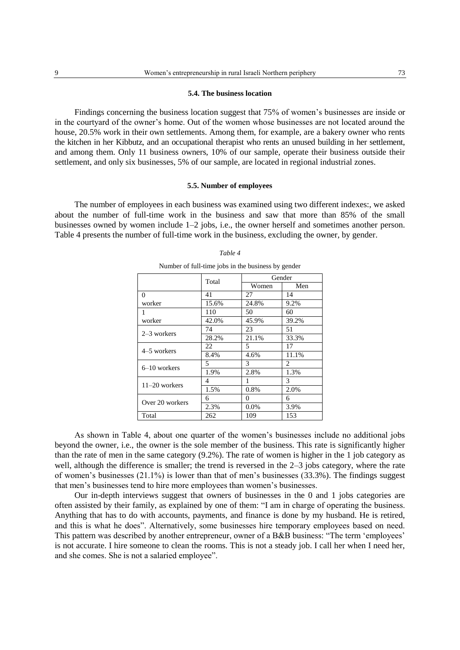### **5.4. The business location**

Findings concerning the business location suggest that 75% of women's businesses are inside or in the courtyard of the owner's home. Out of the women whose businesses are not located around the house, 20.5% work in their own settlements. Among them, for example, are a bakery owner who rents the kitchen in her Kibbutz, and an occupational therapist who rents an unused building in her settlement, and among them. Only 11 business owners, 10% of our sample, operate their business outside their settlement, and only six businesses, 5% of our sample, are located in regional industrial zones.

### **5.5. Number of employees**

The number of employees in each business was examined using two different indexes:, we asked about the number of full-time work in the business and saw that more than 85% of the small businesses owned by women include 1–2 jobs, i.e., the owner herself and sometimes another person. Table 4 presents the number of full-time work in the business, excluding the owner, by gender.

|                 | Total | Gender  |       |  |  |  |
|-----------------|-------|---------|-------|--|--|--|
|                 |       | Women   | Men   |  |  |  |
| $\Omega$        | 41    | 27      | 14    |  |  |  |
| worker          | 15.6% | 24.8%   | 9.2%  |  |  |  |
| $\mathbf{1}$    | 110   | 50      | 60    |  |  |  |
| worker          | 42.0% | 45.9%   | 39.2% |  |  |  |
| $2-3$ workers   | 74    | 23      | 51    |  |  |  |
|                 | 28.2% | 21.1%   | 33.3% |  |  |  |
| 4–5 workers     | 22    | 5       | 17    |  |  |  |
|                 | 8.4%  | 4.6%    | 11.1% |  |  |  |
| $6-10$ workers  | 5     | 3       | 2     |  |  |  |
|                 | 1.9%  | 2.8%    | 1.3%  |  |  |  |
| $11-20$ workers | 4     | 1       | 3     |  |  |  |
|                 | 1.5%  | 0.8%    | 2.0%  |  |  |  |
| Over 20 workers | 6     | 0       | 6     |  |  |  |
|                 | 2.3%  | $0.0\%$ | 3.9%  |  |  |  |
| Total           | 262   | 109     | 153   |  |  |  |

# *Table 4* Number of full-time jobs in the business by gender

As shown in Table 4, about one quarter of the women's businesses include no additional jobs beyond the owner, i.e., the owner is the sole member of the business. This rate is significantly higher than the rate of men in the same category (9.2%). The rate of women is higher in the 1 job category as well, although the difference is smaller; the trend is reversed in the 2–3 jobs category, where the rate of women's businesses (21.1%) is lower than that of men's businesses (33.3%). The findings suggest that men's businesses tend to hire more employees than women's businesses.

Our in-depth interviews suggest that owners of businesses in the 0 and 1 jobs categories are often assisted by their family, as explained by one of them: "I am in charge of operating the business. Anything that has to do with accounts, payments, and finance is done by my husband. He is retired, and this is what he does". Alternatively, some businesses hire temporary employees based on need. This pattern was described by another entrepreneur, owner of a B&B business: "The term 'employees' is not accurate. I hire someone to clean the rooms. This is not a steady job. I call her when I need her, and she comes. She is not a salaried employee".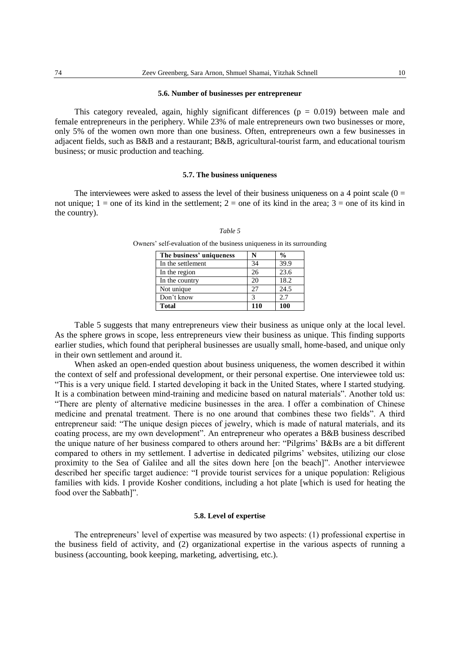### **5.6. Number of businesses per entrepreneur**

This category revealed, again, highly significant differences  $(p = 0.019)$  between male and female entrepreneurs in the periphery. While 23% of male entrepreneurs own two businesses or more, only 5% of the women own more than one business. Often, entrepreneurs own a few businesses in adjacent fields, such as B&B and a restaurant; B&B, agricultural-tourist farm, and educational tourism business; or music production and teaching.

### **5.7. The business uniqueness**

The interviewees were asked to assess the level of their business uniqueness on a 4 point scale  $(0 =$ not unique;  $1 =$  one of its kind in the settlement;  $2 =$  one of its kind in the area;  $3 =$  one of its kind in the country).

## *Table 5*

| The business' uniqueness |     | $\frac{6}{9}$ |
|--------------------------|-----|---------------|
| In the settlement        | 34  | 39.9          |
| In the region            | 26  | 23.6          |
| In the country           | 20  | 18.2          |
| Not unique               | 27  | 24.5          |
| Don't know               |     | 2.7           |
| <b>Total</b>             | 110 | 100           |

Owners' self-evaluation of the business uniqueness in its surrounding

Table 5 suggests that many entrepreneurs view their business as unique only at the local level. As the sphere grows in scope, less entrepreneurs view their business as unique. This finding supports earlier studies, which found that peripheral businesses are usually small, home-based, and unique only in their own settlement and around it.

When asked an open-ended question about business uniqueness, the women described it within the context of self and professional development, or their personal expertise. One interviewee told us: "This is a very unique field. I started developing it back in the United States, where I started studying. It is a combination between mind-training and medicine based on natural materials". Another told us: "There are plenty of alternative medicine businesses in the area. I offer a combination of Chinese medicine and prenatal treatment. There is no one around that combines these two fields". A third entrepreneur said: "The unique design pieces of jewelry, which is made of natural materials, and its coating process, are my own development". An entrepreneur who operates a B&B business described the unique nature of her business compared to others around her: "Pilgrims' B&Bs are a bit different compared to others in my settlement. I advertise in dedicated pilgrims' websites, utilizing our close proximity to the Sea of Galilee and all the sites down here [on the beach]". Another interviewee described her specific target audience: "I provide tourist services for a unique population: Religious families with kids. I provide Kosher conditions, including a hot plate [which is used for heating the food over the Sabbath]".

## **5.8. Level of expertise**

The entrepreneurs' level of expertise was measured by two aspects: (1) professional expertise in the business field of activity, and (2) organizational expertise in the various aspects of running a business (accounting, book keeping, marketing, advertising, etc.).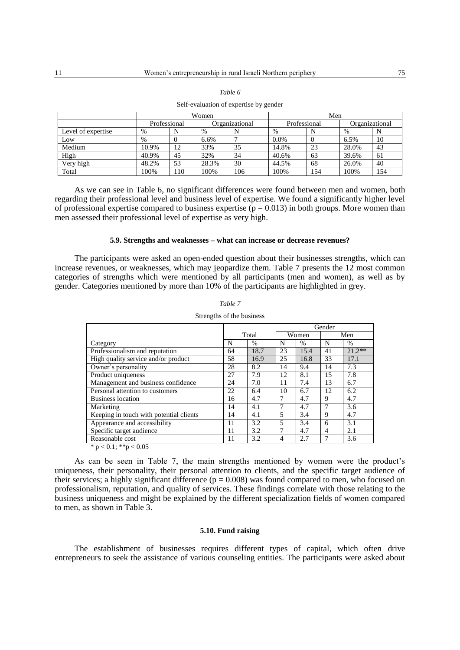|                    | Women |                                |       |              | Men     |                |       |     |
|--------------------|-------|--------------------------------|-------|--------------|---------|----------------|-------|-----|
|                    |       | Professional<br>Organizational |       | Professional |         | Organizational |       |     |
| Level of expertise | $\%$  |                                | %     |              | $\%$    | N              | $\%$  |     |
| Low                | $\%$  |                                | 6.6%  |              | $0.0\%$ | $\theta$       | 6.5%  | 10  |
| Medium             | 10.9% | 12                             | 33%   | 35           | 14.8%   | 23             | 28.0% | 43  |
| High               | 40.9% | 45                             | 32%   | 34           | 40.6%   | 63             | 39.6% | 61  |
| Very high          | 48.2% | 53                             | 28.3% | 30           | 44.5%   | 68             | 26.0% | 40  |
| Total              | 100%  | 110                            | 100%  | 106          | 100%    | 154            | 100%  | 154 |

*Table 6* Self-evaluation of expertise by gender

As we can see in Table 6, no significant differences were found between men and women, both regarding their professional level and business level of expertise. We found a significantly higher level of professional expertise compared to business expertise ( $p = 0.013$ ) in both groups. More women than men assessed their professional level of expertise as very high.

# **5.9. Strengths and weaknesses – what can increase or decrease revenues?**

The participants were asked an open-ended question about their businesses strengths, which can increase revenues, or weaknesses, which may jeopardize them. Table 7 presents the 12 most common categories of strengths which were mentioned by all participants (men and women), as well as by gender. Categories mentioned by more than 10% of the participants are highlighted in grey.

|                                         |    |       | Gender         |               |    |               |
|-----------------------------------------|----|-------|----------------|---------------|----|---------------|
|                                         |    | Total |                | Women         |    | Men           |
| Category                                | N  | $\%$  | N              | $\frac{0}{0}$ | N  | $\frac{0}{0}$ |
| Professionalism and reputation          | 64 | 18.7  | 23             | 15.4          | 41 | $21.2**$      |
| High quality service and/or product     | 58 | 16.9  | 25             | 16.8          | 33 | 17.1          |
| Owner's personality                     | 28 | 8.2   | 14             | 9.4           | 14 | 7.3           |
| Product uniqueness                      | 27 | 7.9   | 12             | 8.1           | 15 | 7.8           |
| Management and business confidence      | 24 | 7.0   | 11             | 7.4           | 13 | 6.7           |
| Personal attention to customers         | 22 | 6.4   | 10             | 6.7           | 12 | 6.2           |
| <b>Business location</b>                | 16 | 4.7   | 7              | 4.7           | 9  | 4.7           |
| Marketing                               | 14 | 4.1   | 7              | 4.7           |    | 3.6           |
| Keeping in touch with potential clients | 14 | 4.1   | 5              | 3.4           | 9  | 4.7           |
| Appearance and accessibility            | 11 | 3.2   | 5              | 3.4           | 6  | 3.1           |
| Specific target audience                | 11 | 3.2   | 7              | 4.7           | 4  | 2.1           |
| Reasonable cost                         | 11 | 3.2   | $\overline{4}$ | 2.7           | 7  | 3.6           |
| 4.0144.007                              |    |       |                |               |    |               |

*Table 7* Strengths of the business

 $* p < 0.1; ** p < 0.05$ 

As can be seen in Table 7, the main strengths mentioned by women were the product's uniqueness, their personality, their personal attention to clients, and the specific target audience of their services; a highly significant difference ( $p = 0.008$ ) was found compared to men, who focused on professionalism, reputation, and quality of services. These findings correlate with those relating to the business uniqueness and might be explained by the different specialization fields of women compared to men, as shown in Table 3.

### **5.10. Fund raising**

The establishment of businesses requires different types of capital, which often drive entrepreneurs to seek the assistance of various counseling entities. The participants were asked about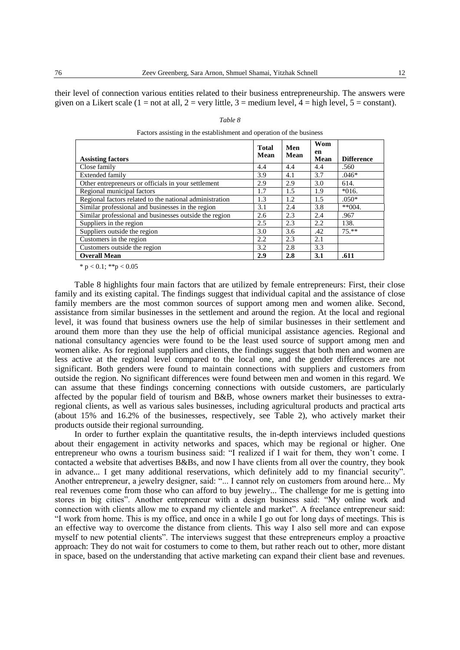their level of connection various entities related to their business entrepreneurship. The answers were given on a Likert scale (1 = not at all, 2 = very little, 3 = medium level, 4 = high level, 5 = constant).

| <b>Assisting factors</b>                                | <b>Total</b><br>Mean | Men<br>Mean | Wom<br>en<br>Mean | <b>Difference</b> |
|---------------------------------------------------------|----------------------|-------------|-------------------|-------------------|
| Close family                                            | 4.4                  | 4.4         | 4.4               | .560              |
| <b>Extended family</b>                                  | 3.9                  | 4.1         | 3.7               | $.046*$           |
| Other entrepreneurs or officials in your settlement     | 2.9                  | 2.9         | 3.0               | 614.              |
| Regional municipal factors                              | 1.7                  | 1.5         | 1.9               | $*016.$           |
| Regional factors related to the national administration | 1.3                  | 1.2         | 1.5               | $.050*$           |
| Similar professional and businesses in the region       | 3.1                  | 2.4         | 3.8               | $*$ $(0)4.$       |
| Similar professional and businesses outside the region  | 2.6                  | 2.3         | 2.4               | .967              |
| Suppliers in the region                                 | 2.5                  | 2.3         | 2.2               | 138.              |
| Suppliers outside the region                            | 3.0                  | 3.6         | .42               | $75.**$           |
| Customers in the region                                 | 2.2                  | 2.3         | 2.1               |                   |
| Customers outside the region                            | 3.2                  | 2.8         | 3.3               |                   |
| <b>Overall Mean</b>                                     | 2.9                  | 2.8         | 3.1               | .611              |

| Table 8                                                              |
|----------------------------------------------------------------------|
| Factors assisting in the establishment and operation of the business |

\*  $p < 0.1$ ; \*\* $p < 0.05$ 

Table 8 highlights four main factors that are utilized by female entrepreneurs: First, their close family and its existing capital. The findings suggest that individual capital and the assistance of close family members are the most common sources of support among men and women alike. Second, assistance from similar businesses in the settlement and around the region. At the local and regional level, it was found that business owners use the help of similar businesses in their settlement and around them more than they use the help of official municipal assistance agencies. Regional and national consultancy agencies were found to be the least used source of support among men and women alike. As for regional suppliers and clients, the findings suggest that both men and women are less active at the regional level compared to the local one, and the gender differences are not significant. Both genders were found to maintain connections with suppliers and customers from outside the region. No significant differences were found between men and women in this regard. We can assume that these findings concerning connections with outside customers, are particularly affected by the popular field of tourism and B&B, whose owners market their businesses to extraregional clients, as well as various sales businesses, including agricultural products and practical arts (about 15% and 16.2% of the businesses, respectively, see Table 2), who actively market their products outside their regional surrounding.

In order to further explain the quantitative results, the in-depth interviews included questions about their engagement in activity networks and spaces, which may be regional or higher. One entrepreneur who owns a tourism business said: "I realized if I wait for them, they won't come. I contacted a website that advertises B&Bs, and now I have clients from all over the country, they book in advance... I get many additional reservations, which definitely add to my financial security". Another entrepreneur, a jewelry designer, said: "... I cannot rely on customers from around here... My real revenues come from those who can afford to buy jewelry... The challenge for me is getting into stores in big cities". Another entrepreneur with a design business said: "My online work and connection with clients allow me to expand my clientele and market". A freelance entrepreneur said: "I work from home. This is my office, and once in a while I go out for long days of meetings. This is an effective way to overcome the distance from clients. This way I also sell more and can expose myself to new potential clients". The interviews suggest that these entrepreneurs employ a proactive approach: They do not wait for costumers to come to them, but rather reach out to other, more distant in space, based on the understanding that active marketing can expand their client base and revenues.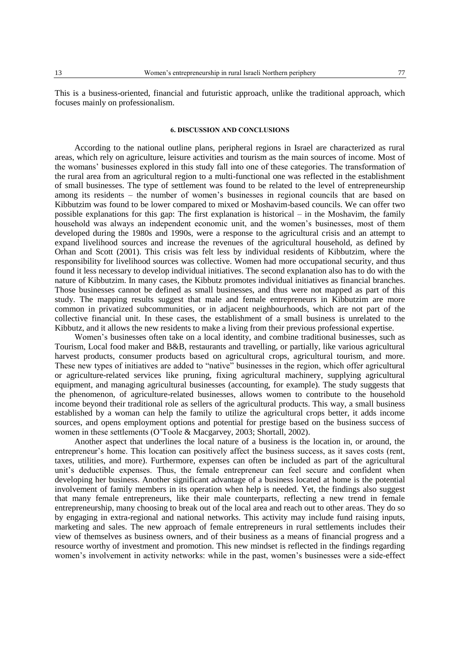This is a business-oriented, financial and futuristic approach, unlike the traditional approach, which focuses mainly on professionalism.

### **6. DISCUSSION AND CONCLUSIONS**

According to the national outline plans, peripheral regions in Israel are characterized as rural areas, which rely on agriculture, leisure activities and tourism as the main sources of income. Most of the womans' businesses explored in this study fall into one of these categories. The transformation of the rural area from an agricultural region to a multi-functional one was reflected in the establishment of small businesses. The type of settlement was found to be related to the level of entrepreneurship among its residents – the number of women's businesses in regional councils that are based on Kibbutzim was found to be lower compared to mixed or Moshavim-based councils. We can offer two possible explanations for this gap: The first explanation is historical – in the Moshavim, the family household was always an independent economic unit, and the women's businesses, most of them developed during the 1980s and 1990s, were a response to the agricultural crisis and an attempt to expand livelihood sources and increase the revenues of the agricultural household, as defined by Orhan and Scott (2001). This crisis was felt less by individual residents of Kibbutzim, where the responsibility for livelihood sources was collective. Women had more occupational security, and thus found it less necessary to develop individual initiatives. The second explanation also has to do with the nature of Kibbutzim. In many cases, the Kibbutz promotes individual initiatives as financial branches. Those businesses cannot be defined as small businesses, and thus were not mapped as part of this study. The mapping results suggest that male and female entrepreneurs in Kibbutzim are more common in privatized subcommunities, or in adjacent neighbourhoods, which are not part of the collective financial unit. In these cases, the establishment of a small business is unrelated to the Kibbutz, and it allows the new residents to make a living from their previous professional expertise.

Women's businesses often take on a local identity, and combine traditional businesses, such as Tourism, Local food maker and B&B, restaurants and travelling, or partially, like various agricultural harvest products, consumer products based on agricultural crops, agricultural tourism, and more. These new types of initiatives are added to "native" businesses in the region, which offer agricultural or agriculture-related services like pruning, fixing agricultural machinery, supplying agricultural equipment, and managing agricultural businesses (accounting, for example). The study suggests that the phenomenon, of agriculture-related businesses, allows women to contribute to the household income beyond their traditional role as sellers of the agricultural products. This way, a small business established by a woman can help the family to utilize the agricultural crops better, it adds income sources, and opens employment options and potential for prestige based on the business success of women in these settlements (O'Toole & Macgarvey, 2003; Shortall, 2002).

Another aspect that underlines the local nature of a business is the location in, or around, the entrepreneur's home. This location can positively affect the business success, as it saves costs (rent, taxes, utilities, and more). Furthermore, expenses can often be included as part of the agricultural unit's deductible expenses. Thus, the female entrepreneur can feel secure and confident when developing her business. Another significant advantage of a business located at home is the potential involvement of family members in its operation when help is needed. Yet, the findings also suggest that many female entrepreneurs, like their male counterparts, reflecting a new trend in female entrepreneurship, many choosing to break out of the local area and reach out to other areas. They do so by engaging in extra-regional and national networks. This activity may include fund raising inputs, marketing and sales. The new approach of female entrepreneurs in rural settlements includes their view of themselves as business owners, and of their business as a means of financial progress and a resource worthy of investment and promotion. This new mindset is reflected in the findings regarding women's involvement in activity networks: while in the past, women's businesses were a side-effect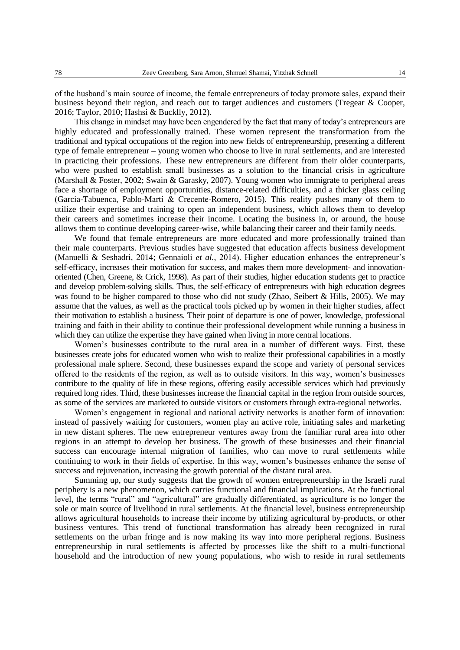of the husband's main source of income, the female entrepreneurs of today promote sales, expand their business beyond their region, and reach out to target audiences and customers (Tregear & Cooper, 2016; Taylor, 2010; Hashsi & Bucklly, 2012).

This change in mindset may have been engendered by the fact that many of today's entrepreneurs are highly educated and professionally trained. These women represent the transformation from the traditional and typical occupations of the region into new fields of entrepreneurship, presenting a different type of female entrepreneur – young women who choose to live in rural settlements, and are interested in practicing their professions. These new entrepreneurs are different from their older counterparts, who were pushed to establish small businesses as a solution to the financial crisis in agriculture (Marshall & Foster, 2002; Swain & Garasky, 2007). Young women who immigrate to peripheral areas face a shortage of employment opportunities, distance-related difficulties, and a thicker glass ceiling (Garcia-Tabuenca, Pablo-Martí & Crecente-Romero, 2015). This reality pushes many of them to utilize their expertise and training to open an independent business, which allows them to develop their careers and sometimes increase their income. Locating the business in, or around, the house allows them to continue developing career-wise, while balancing their career and their family needs.

We found that female entrepreneurs are more educated and more professionally trained than their male counterparts. Previous studies have suggested that education affects business development (Manuelli & Seshadri, 2014; Gennaioli *et al.*, 2014). Higher education enhances the entrepreneur's self-efficacy, increases their motivation for success, and makes them more development- and innovationoriented (Chen, Greene, & Crick, 1998). As part of their studies, higher education students get to practice and develop problem-solving skills. Thus, the self-efficacy of entrepreneurs with high education degrees was found to be higher compared to those who did not study (Zhao, Seibert & Hills, 2005). We may assume that the values, as well as the practical tools picked up by women in their higher studies, affect their motivation to establish a business. Their point of departure is one of power, knowledge, professional training and faith in their ability to continue their professional development while running a business in which they can utilize the expertise they have gained when living in more central locations.

Women's businesses contribute to the rural area in a number of different ways. First, these businesses create jobs for educated women who wish to realize their professional capabilities in a mostly professional male sphere. Second, these businesses expand the scope and variety of personal services offered to the residents of the region, as well as to outside visitors. In this way, women's businesses contribute to the quality of life in these regions, offering easily accessible services which had previously required long rides. Third, these businesses increase the financial capital in the region from outside sources, as some of the services are marketed to outside visitors or customers through extra-regional networks.

Women's engagement in regional and national activity networks is another form of innovation: instead of passively waiting for customers, women play an active role, initiating sales and marketing in new distant spheres. The new entrepreneur ventures away from the familiar rural area into other regions in an attempt to develop her business. The growth of these businesses and their financial success can encourage internal migration of families, who can move to rural settlements while continuing to work in their fields of expertise. In this way, women's businesses enhance the sense of success and rejuvenation, increasing the growth potential of the distant rural area.

Summing up, our study suggests that the growth of women entrepreneurship in the Israeli rural periphery is a new phenomenon, which carries functional and financial implications. At the functional level, the terms "rural" and "agricultural" are gradually differentiated, as agriculture is no longer the sole or main source of livelihood in rural settlements. At the financial level, business entrepreneurship allows agricultural households to increase their income by utilizing agricultural by-products, or other business ventures. This trend of functional transformation has already been recognized in rural settlements on the urban fringe and is now making its way into more peripheral regions. Business entrepreneurship in rural settlements is affected by processes like the shift to a multi-functional household and the introduction of new young populations, who wish to reside in rural settlements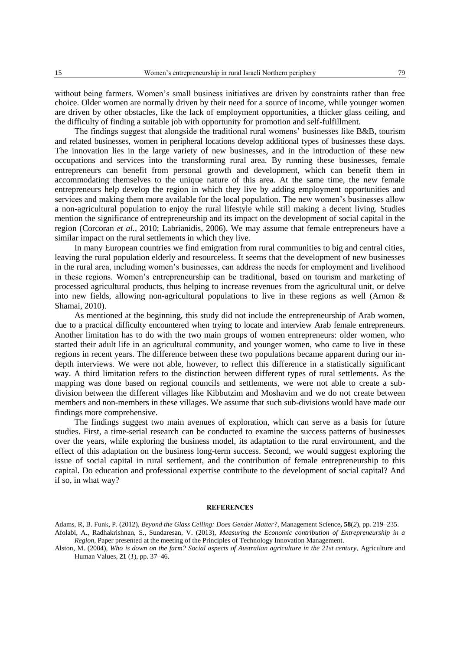without being farmers. Women's small business initiatives are driven by constraints rather than free choice. Older women are normally driven by their need for a source of income, while younger women are driven by other obstacles, like the lack of employment opportunities, a thicker glass ceiling, and the difficulty of finding a suitable job with opportunity for promotion and self-fulfillment.

The findings suggest that alongside the traditional rural womens' businesses like B&B, tourism and related businesses, women in peripheral locations develop additional types of businesses these days. The innovation lies in the large variety of new businesses, and in the introduction of these new occupations and services into the transforming rural area. By running these businesses, female entrepreneurs can benefit from personal growth and development, which can benefit them in accommodating themselves to the unique nature of this area. At the same time, the new female entrepreneurs help develop the region in which they live by adding employment opportunities and services and making them more available for the local population. The new women's businesses allow a non-agricultural population to enjoy the rural lifestyle while still making a decent living. Studies mention the significance of entrepreneurship and its impact on the development of social capital in the region (Corcoran *et al.*, 2010; Labrianidis, 2006). We may assume that female entrepreneurs have a similar impact on the rural settlements in which they live.

In many European countries we find emigration from rural communities to big and central cities, leaving the rural population elderly and resourceless. It seems that the development of new businesses in the rural area, including women's businesses, can address the needs for employment and livelihood in these regions. Women's entrepreneurship can be traditional, based on tourism and marketing of processed agricultural products, thus helping to increase revenues from the agricultural unit, or delve into new fields, allowing non-agricultural populations to live in these regions as well (Arnon  $\&$ Shamai, 2010).

As mentioned at the beginning, this study did not include the entrepreneurship of Arab women, due to a practical difficulty encountered when trying to locate and interview Arab female entrepreneurs. Another limitation has to do with the two main groups of women entrepreneurs: older women, who started their adult life in an agricultural community, and younger women, who came to live in these regions in recent years. The difference between these two populations became apparent during our indepth interviews. We were not able, however, to reflect this difference in a statistically significant way. A third limitation refers to the distinction between different types of rural settlements. As the mapping was done based on regional councils and settlements, we were not able to create a subdivision between the different villages like Kibbutzim and Moshavim and we do not create between members and non-members in these villages. We assume that such sub-divisions would have made our findings more comprehensive.

The findings suggest two main avenues of exploration, which can serve as a basis for future studies. First, a time-serial research can be conducted to examine the success patterns of businesses over the years, while exploring the business model, its adaptation to the rural environment, and the effect of this adaptation on the business long-term success. Second, we would suggest exploring the issue of social capital in rural settlement, and the contribution of female entrepreneurship to this capital. Do education and professional expertise contribute to the development of social capital? And if so, in what way?

### **REFERENCES**

Adams, R, B. Funk, P. (2012), *Beyond the Glass Ceiling: Does Gender Matter?*, Management Science**, 58**(*2*), pp. 219–235.

Afolabi, A., Radhakrishnan, S., Sundaresan, V. (2013), *Measuring the Economic contribution of Entrepreneurship in a Region*, Paper presented at the meeting of the Principles of Technology Innovation Management.

Alston, M. (2004), *Who is down on the farm? Social aspects of Australian agriculture in the 21st century*, Agriculture and Human Values, **21** (*1*), pp. 37–46.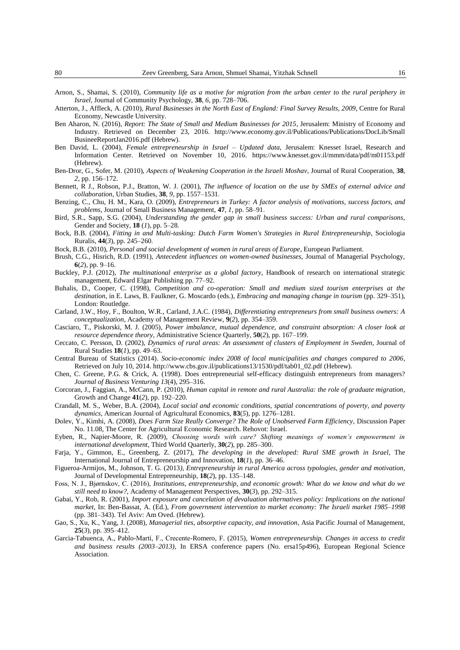- Atterton, J., Affleck, A. (2010), *Rural Businesses in the North East of England: Final Survey Results, 2009*, Centre for Rural Economy, Newcastle University.
- Ben Aharon, N. (2016), *Report: The State of Small and Medium Businesses for 2015*, Jerusalem: Ministry of Economy and Industry. Retrieved on December 23, 2016. [http://www.economy.gov.il/Publications/Publications/DocLib/Small](http://www.economy.gov.il/Publications/Publications/DocLib/SmallBusineeReportJan2016.pdf) [BusineeReportJan2016.pdf](http://www.economy.gov.il/Publications/Publications/DocLib/SmallBusineeReportJan2016.pdf) (Hebrew).
- Ben David, L. (2004), *Female entrepreneurship in Israel – Updated data*, Jerusalem: Knesset Israel, Research and Information Center. Retrieved on November 10, 2016. <https://www.knesset.gov.il/mmm/data/pdf/m01153.pdf> (Hebrew).
- Ben-Dror, G., Sofer, M. (2010), *Aspects of Weakening Cooperation in the Israeli Moshav*, Journal of Rural Cooperation, **38**, *2*, pp. 156–172.
- Bennett, R J., Robson, P.J., Bratton, W. J. (2001), *The influence of location on the use by SMEs of external advice and collaboration*, Urban Studies, **38**, *9*, pp. 1557–1531.
- Benzing, C., Chu, H. M., Kara, O. (2009), *Entrepreneurs in Turkey: A factor analysis of motivations, success factors, and problems*, Journal of Small Business Management, **47**, *1*, pp. 58–91.
- Bird, S.R., Sapp, S.G. (2004), *Understanding the gender gap in small business success: Urban and rural comparisons*, Gender and Society, **18** (*1*), pp. 5–28.
- Bock, B.B. (2004), *Fitting in and Multi-tasking: Dutch Farm Women's Strategies in Rural Entrepreneurship*, Sociologia Ruralis, **44**(*3*), pp. 245–260.
- Bock, B.B. (2010), *Personal and social development of women in rural areas of Europe*, European Parliament.
- Brush, C.G., Hisrich, R.D. (1991), *Antecedent influences on women-owned businesses*, Journal of Managerial Psychology, **6**(*2*), pp. 9–16.
- Buckley, P.J. (2012), *The multinational enterprise as a global factory*, Handbook of research on international strategic management, Edward Elgar Publishing pp. 77–92.
- Buhalis, D., Cooper, C. (1998), *Competition and co-operation: Small and medium sized tourism enterprises at the destination*, in E. Laws, B. Faulkner, G. Moscardo (eds.), *Embracing and managing change in tourism* (pp. 329–351), London: Routledge.
- Carland, J.W., Hoy, F., Boulton, W.R., Carland, J.A.C. (1984), *Differentiating entrepreneurs from small business owners: A conceptualization*, Academy of Management Review, **9**(*2*), pp. 354–359.
- Casciaro, T., Piskorski, M. J. (2005), *Power imbalance, mutual dependence, and constraint absorption: A closer look at resource dependence theory*, Administrative Science Quarterly, **50**(*2*), pp. 167–199.
- Ceccato, C. Persson, D. (2002), *Dynamics of rural areas: An assessment of clusters of Employment in Sweden*, Journal of Rural Studies **18**(*1*), pp. 49–63.
- Central Bureau of Statistics (2014). *Socio-economic index 2008 of local municipalities and changes compared to 2006*, Retrieved on July 10, 2014. [http://www.cbs.gov.il/publications13/1530/pdf/tab01\\_02.pdf](http://www.cbs.gov.il/publications13/1530/pdf/tab01_02.pdf) (Hebrew).
- Chen, C. Greene, P.G. & Crick, A. (1998). Does entrepreneurial self-efficacy distinguish entrepreneurs from managers? *Journal of Business Venturing 13*(4), 295–316.
- Corcoran, J., Faggian, A., McCann, P. (2010), *Human capital in remote and rural Australia: the role of graduate migration*, Growth and Change **41**(*2*), pp. 192–220.
- Crandall, M. S., Weber, B.A. (2004), *Local social and economic conditions, spatial concentrations of poverty, and poverty dynamics*, American Journal of Agricultural Economics, **83**(*5*), pp. 1276–1281.
- Dolev, Y., Kimhi, A. (2008), *Does Farm Size Really Converge? The Role of Unobserved Farm Efficiency*, Discussion Paper No. 11.08, The Center for Agricultural Economic Research. Rehovot: Israel.
- Eyben, R., Napier-Moore, R. (2009), *Choosing words with care? Shifting meanings of women's empowerment in international development*, Third World Quarterly, **30**(*2*), pp. 285–300.
- Farja, Y., Gimmon, E., Greenberg, Z. (2017), *The developing in the developed: Rural SME growth in Israel*, The International Journal of Entrepreneurship and Innovation, **18**(*1*), pp. 36–46.
- Figueroa-Armijos, M., Johnson, T. G. (2013*), Entrepreneurship in rural America across typologies, gender and motivation*, Journal of Developmental Entrepreneurship, **18**(*2*), pp. 135–148.
- Foss, N. J., Bjørnskov, C. (2016), *Institutions, entrepreneurship, and economic growth: What do we know and what do we still need to know?*, Academy of Management Perspectives, **30**(*3*), pp. 292–315.
- Gabai, Y., Rob, R. (2001), *Import exposure and cancelation of devaluation alternatives policy: Implications on the national market*, In: Ben-Bassat, A. (Ed.), *From government intervention to market economy: The Israeli market 1985–1998* (pp. 381–343). Tel Aviv: Am Oved. (Hebrew).
- Gao, S., Xu, K., Yang, J. (2008), *Managerial ties, absorptive capacity, and innovation*, Asia Pacific Journal of Management, **25**(*3*), pp. 395–412.
- Garcia-Tabuenca, A., Pablo-Martí, F., Crecente-Romero, F. (2015), *Women entrepreneurship. Changes in access to credit and business results (2003–2013)*, In ERSA conference papers (No. ersa15p496), European Regional Science Association.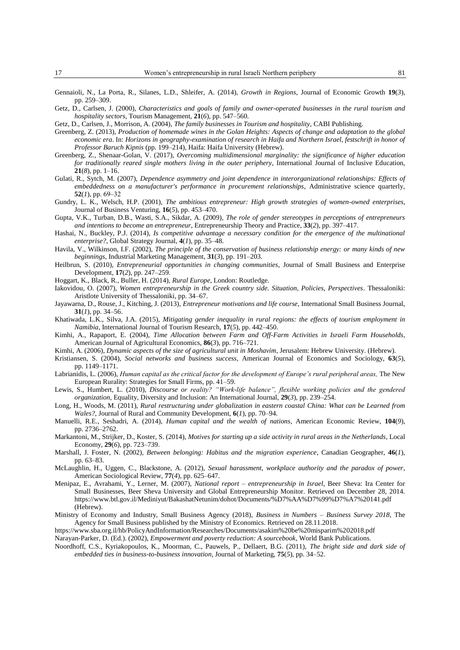- Gennaioli, N., La Porta, R., Silanes, L.D., Shleifer, A. (2014), *Growth in Regions*, Journal of Economic Growth **19**(*3*), pp. 259–309.
- Getz, D., Carlsen, J. (2000), *Characteristics and goals of family and owner-operated businesses in the rural tourism and hospitality sectors*, Tourism Management, **21**(*6*), pp. 547–560.
- Getz, D., Carlsen, J., Morrison, A. (2004), *The family businesses in Tourism and hospitality*, CABI Publishing.
- Greenberg, Z. (2013), *Production of homemade wines in the Golan Heights: Aspects of change and adaptation to the global economic era*. In: *Horizons in geography-examination of research in Haifa and Northern Israel, festschrift in honor of Professor Baruch Kipnis* (pp. 199–214), Haifa: Haifa University (Hebrew).
- Greenberg, Z., Shenaar-Golan, V. (2017), *Overcoming multidimensional marginality: the significance of higher education for traditionally reared single mothers living in the outer periphery*, International Journal of Inclusive Education, **21**(*8*), pp. 1–16.
- Gulati, R., Sytch, M. (2007), *Dependence asymmetry and joint dependence in interorganizational relationships: Effects of embeddedness on a manufacturer's performance in procurement relationships*, Administrative science quarterly, **52**(*1*), pp. 69–32
- Gundry, L. K., Welsch, H.P. (2001), *The ambitious entrepreneur: High growth strategies of women-owned enterprises*, Journal of Business Venturing, **16**(*5*), pp. 453–470.
- Gupta, V.K., Turban, D.B., Wasti, S.A., Sikdar, A. (2009), *The role of gender stereotypes in perceptions of entrepreneurs and intentions to become an entrepreneur*, Entrepreneurship Theory and Practice, **33**(*2*), pp. 397–417.
- Hashai, N., Buckley, P.J. (2014), *Is competitive advantage a necessary condition for the emergence of the multinational enterprise?*, Global Strategy Journal, **4**(*1*), pp. 35–48.
- Havila, V., Wilkinson, I.F. (2002), *The principle of the conservation of business relationship energy: or many kinds of new beginnings*, Industrial Marketing Management, **31**(*3*), pp. 191–203.
- Heilbrun, S. (2010), *Entrepreneurial opportunities in changing communities*, Journal of Small Business and Enterprise Development, **17**(*2*), pp. 247–259.
- Hoggart, K., Black, R., Buller, H. (2014), *Rural Europe*, London: Routledge.
- Iakovidou, O. (2007), *Women entrepreneurship in the Greek country side. Situation, Policies, Perspectives*. Thessaloniki: Aristlote University of Thessaloniki, pp. 34–67.
- Jayawarna, D., Rouse, J., Kitching, J. (2013), *Entrepreneur motivations and life course*, International Small Business Journal, **31**(*1*), pp. 34–56.
- Khatiwada, L.K., Silva, J.A. (2015), *Mitigating gender inequality in rural regions: the effects of tourism employment in Namibia*, International Journal of Tourism Research, **17**(*5*), pp. 442–450.
- Kimhi, A., Rapaport, E. (2004), *Time Allocation between Farm and Off-Farm Activities in Israeli Farm Households*, American Journal of Agricultural Economics, **86**(*3*), pp. 716–721.
- Kimhi, A. (2006), *Dynamic aspects of the size of agricultural unit in Moshavim*, Jerusalem: Hebrew University. (Hebrew).
- Kristiansen, S. (2004), *Social networks and business success*, American Journal of Economics and Sociology, **63**(*5*), pp. 1149–1171.
- Labrianidis, L. (2006), *Human capital as the critical factor for the development of Europe's rural peripheral areas,* The New European Rurality: Strategies for Small Firms, pp. 41–59.
- Lewis, S., Humbert, L. (2010), *Discourse or reality? "Work-life balance", flexible working policies and the gendered organization*, Equality, Diversity and Inclusion: An International Journal, **29**(*3*), pp. 239–254.
- Long, H., Woods, M. (2011), *Rural restructuring under globalization in eastern coastal China: What can be Learned from Wales?*, Journal of Rural and Community Development, **6**(*1*), pp. 70–94.
- Manuelli, R.E., Seshadri, A. (2014), *Human capital and the wealth of nations*, American Economic Review, **104**(*9*), pp. 2736–2762.
- Markantoni, M., Strijker, D., Koster, S. (2014), *Motives for starting up a side activity in rural areas in the Netherlands*, Local Economy, **29**(*6*), pp. 723–739.
- Marshall, J. Foster, N. (2002), *Between belonging: Habitus and the migration experience*, Canadian Geographer, **46**(*1*), pp. 63–83.
- McLaughlin, H., Uggen, C., Blackstone, A. (2012), *Sexual harassment, workplace authority and the paradox of power*, American Sociological Review, **77**(*4*), pp. 625–647.
- Menipaz, E., Avrahami, Y., Lerner, M. (2007), *National report – entrepreneurship in Israel*, Beer Sheva: Ira Center for Small Businesses, Beer Sheva University and Global Entrepreneurship Monitor. Retrieved on December 28, 2014. <https://www.btl.gov.il/Mediniyut/BakashatNetunim/dohot/Documents/%D7%AA%D7%99%D7%A7%20141.pdf> (Hebrew).
- Ministry of Economy and Industry, Small Business Agency (2018), *Business in Numbers – Business Survey 2018*, The Agency for Small Business published by the Ministry of Economics. Retrieved on 28.11.2018.
- <https://www.sba.org.il/hb/PolicyAndInformation/Researches/Documents/asakim%20be%20misparim%202018.pdf>
- Narayan-Parker, D. (Ed.). (2002), *Empowerment and poverty reduction: A sourcebook*, World Bank Publications.
- Noordhoff, C.S., Kyriakopoulos, K., Moorman, C., Pauwels, P., Dellaert, B.G. (2011), *The bright side and dark side of embedded ties in business-to-business innovation*, Journal of Marketing, **75**(*5*), pp. 34–52.